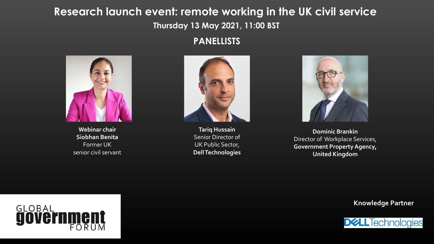#### **Research launch event: remote working in the UK civil service Thursday 13 May 2021, 11:00 BST**

#### **PANELLISTS**



**Webinar chair Siobhan Benita** Former UK senior civil servant



**Tariq Hussain** Senior Director of UK Public Sector, **Dell Technologies**



**Dominic Brankin**  Director of Workplace Services, **Government Property Agency, United Kingdom**

GLOBAL FORUM **Knowledge Partner**

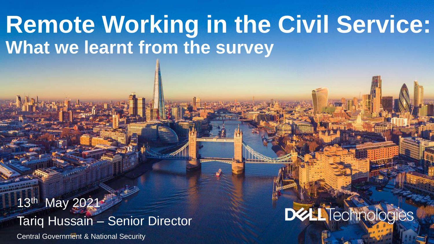# **Remote Working in the Civil Service: What we learnt from the survey**

**2020 Central Government & National Security** 13th May 2021 Tariq Hussain – Senior Director

# **DELLTechnologies**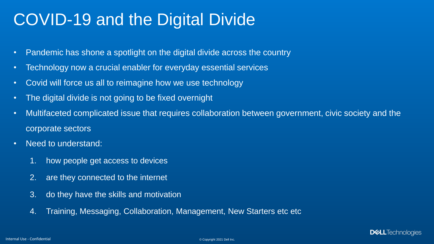### COVID-19 and the Digital Divide

- Pandemic has shone a spotlight on the digital divide across the country
- Technology now a crucial enabler for everyday essential services
- Covid will force us all to reimagine how we use technology
- The digital divide is not going to be fixed overnight
- Multifaceted complicated issue that requires collaboration between government, civic society and the corporate sectors
- Need to understand:
	- 1. how people get access to devices
	- 2. are they connected to the internet
	- 3. do they have the skills and motivation
	- 4. Training, Messaging, Collaboration, Management, New Starters etc etc

**DELL**Technologies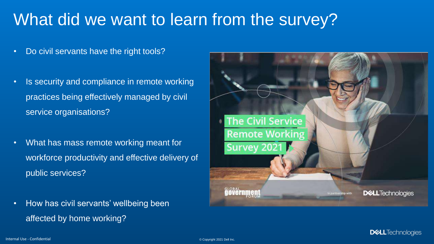## What did we want to learn from the survey?

- Do civil servants have the right tools?
- Is security and compliance in remote working practices being effectively managed by civil service organisations?
- What has mass remote working meant for workforce productivity and effective delivery of public services?
- How has civil servants' wellbeing been affected by home working?



**D&LL**Technologies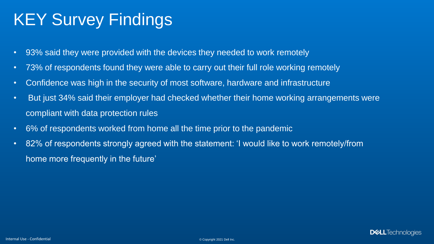## KEY Survey Findings

- 93% said they were provided with the devices they needed to work remotely
- 73% of respondents found they were able to carry out their full role working remotely
- Confidence was high in the security of most software, hardware and infrastructure
- But just 34% said their employer had checked whether their home working arrangements were compliant with data protection rules
- 6% of respondents worked from home all the time prior to the pandemic
- 82% of respondents strongly agreed with the statement: 'I would like to work remotely/from home more frequently in the future'